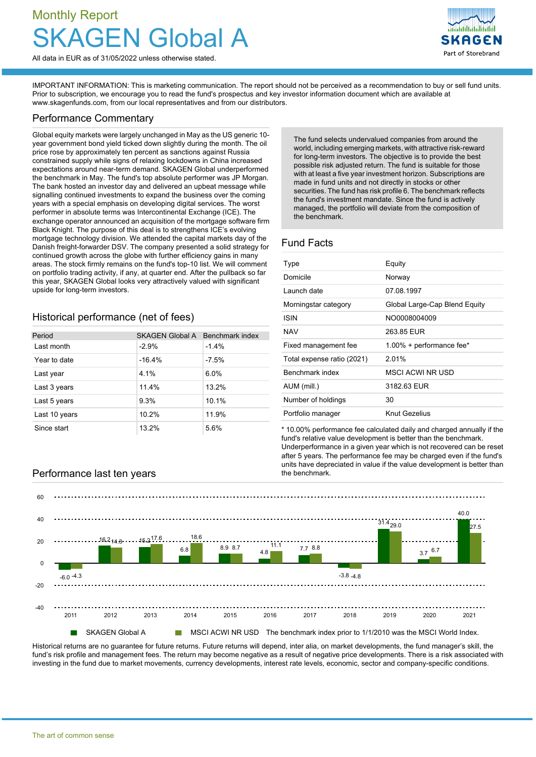# Monthly Report Global A



All data in EUR as of 31/05/2022 unless otherwise stated.

IMPORTANT INFORMATION: This is marketing communication. The report should not be perceived as a recommendation to buy or sell fund units. Prior to subscription, we encourage you to read the fund's prospectus and key investor information document which are available at [www.skagenfunds.com](http://www.skagenfunds.com), from our local representatives and from our distributors.

#### Performance Commentary

Global equity markets were largely unchanged in May as the US generic 10 year government bond yield ticked down slightly during the month. The oil price rose by approximately ten percent as sanctions against Russia constrained supply while signs of relaxing lockdowns in China increased expectations around near-term demand. SKAGEN Global underperformed the benchmark in May. The fund's top absolute performer was JP Morgan. The bank hosted an investor day and delivered an upbeat message while signalling continued investments to expand the business over the coming years with a special emphasis on developing digital services. The worst performer in absolute terms was Intercontinental Exchange (ICE). The exchange operator announced an acquisition of the mortgage software firm Black Knight. The purpose of this deal is to strengthens ICE's evolving mortgage technology division. We attended the capital markets day of the Danish freight-forwarder DSV. The company presented a solid strategy for continued growth across the globe with further efficiency gains in many areas. The stock firmly remains on the fund's top-10 list. We will comment on portfolio trading activity, if any, at quarter end. After the pullback so far this year, SKAGEN Global looks very attractively valued with significant upside for long-term investors.

Period SKAGEN Global A Benchmark index

 $\frac{1}{2}$  ast month  $\frac{1}{4\%}$ Year to date  $-16.4\%$  -7.5% Last year  $\sqrt{4.1\%}$  6.0% Last 3 years 11.4% 13.2% Last 5 years 10.1% Last 10 years 10.2% 11.9% Since start 13.2% 5.6%

The fund selects undervalued companies from around the world, including emerging markets, with attractive risk-reward for long-term investors. The objective is to provide the best possible risk adjusted return. The fund is suitable for those with at least a five year investment horizon. Subscriptions are made in fund units and not directly in stocks or other securities. The fund has risk profile 6. The benchmark reflects the fund's investment mandate. Since the fund is actively managed, the portfolio will deviate from the composition of the benchmark.

## Fund Facts

| Type                       | Equity                        |
|----------------------------|-------------------------------|
| Domicile                   | Norway                        |
| Launch date                | 07.08.1997                    |
| Morningstar category       | Global Large-Cap Blend Equity |
| <b>ISIN</b>                | NO0008004009                  |
| <b>NAV</b>                 | 263.85 EUR                    |
| Fixed management fee       | 1.00% + performance fee*      |
| Total expense ratio (2021) | 2.01%                         |
| Benchmark index            | MSCI ACWI NR USD              |
| AUM (mill.)                | 3182.63 EUR                   |
| Number of holdings         | 30                            |
| Portfolio manager          | Knut Gezelius                 |

\* 10.00% performance fee calculated daily and charged annually if the fund's relative value development is better than the benchmark. Underperformance in a given year which is not recovered can be reset after 5 years. The performance fee may be charged even if the fund's units have depreciated in value if the value development is better than



Historical returns are no quarantee for future returns. Future returns will depend, inter alia, on market developments, the fund manager's skill, the fund's risk profile and management fees. The return may become negative as a result of negative price developments. There is a risk associated with investing in the fund due to market movements, currency developments, interest rate levels, economic, sector and company-specific conditions.

# Performance last ten years example the benchmark.

Historical performance (net of fees)